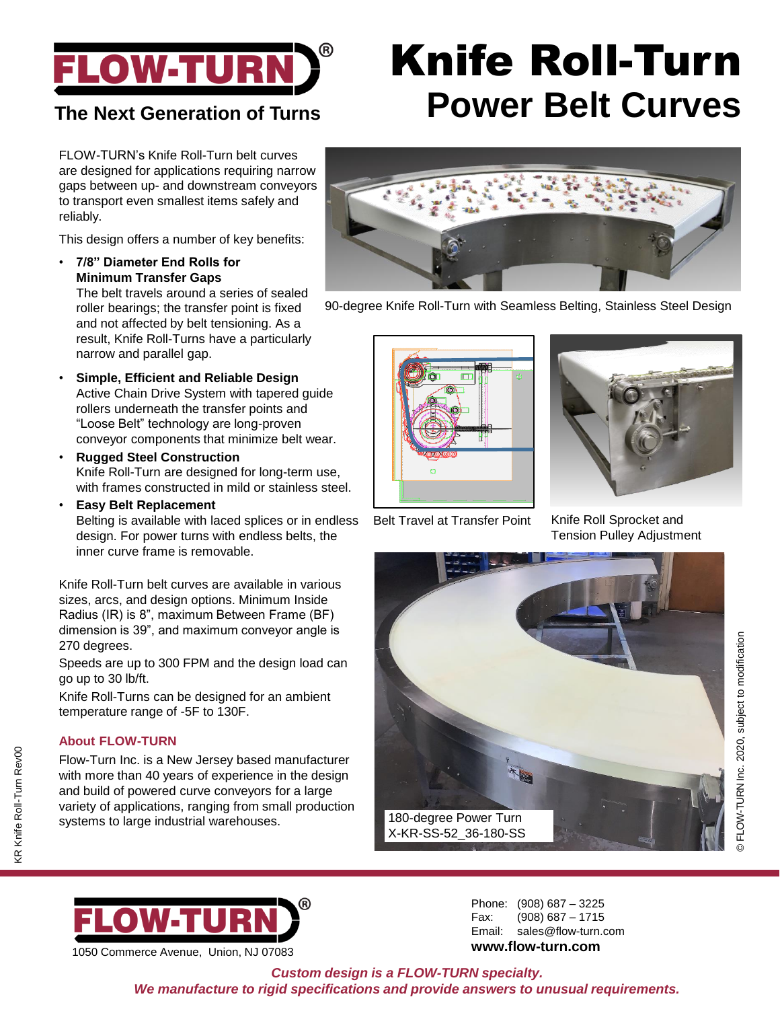

## **The Next Generation of Turns**

FLOW-TURN's Knife Roll-Turn belt curves are designed for applications requiring narrow gaps between up- and downstream conveyors to transport even smallest items safely and reliably.

This design offers a number of key benefits:

• **7/8" Diameter End Rolls for Minimum Transfer Gaps** The belt travels around a series of sealed

roller bearings; the transfer point is fixed and not affected by belt tensioning. As a result, Knife Roll-Turns have a particularly narrow and parallel gap.

- **Simple, Efficient and Reliable Design** Active Chain Drive System with tapered guide rollers underneath the transfer points and "Loose Belt" technology are long-proven conveyor components that minimize belt wear.
- **Rugged Steel Construction** Knife Roll-Turn are designed for long-term use, with frames constructed in mild or stainless steel.
- **Easy Belt Replacement** Belting is available with laced splices or in endless design. For power turns with endless belts, the inner curve frame is removable.

Knife Roll-Turn belt curves are available in various sizes, arcs, and design options. Minimum Inside Radius (IR) is 8", maximum Between Frame (BF) dimension is 39", and maximum conveyor angle is 270 degrees.

Speeds are up to 300 FPM and the design load can go up to 30 lb/ft.

Knife Roll-Turns can be designed for an ambient temperature range of -5F to 130F.

#### **About FLOW-TURN**

KR Knife Roll-Turn Rev00

<R Knife Roll-Turn Rev00

Flow-Turn Inc. is a New Jersey based manufacturer with more than 40 years of experience in the design and build of powered curve conveyors for a large variety of applications, ranging from small production systems to large industrial warehouses.

# Knife Roll-Turn **Power Belt Curves**



90-degree Knife Roll-Turn with Seamless Belting, Stainless Steel Design





Belt Travel at Transfer Point

Knife Roll Sprocket and Tension Pulley Adjustment





1050 Commerce Avenue, Union, NJ 07083

Phone: (908) 687 – 3225 Fax: (908) 687 – 1715 Email: sales@flow-turn.com **www.flow-turn.com**

*Custom design is a FLOW-TURN specialty. We manufacture to rigid specifications and provide answers to unusual requirements.*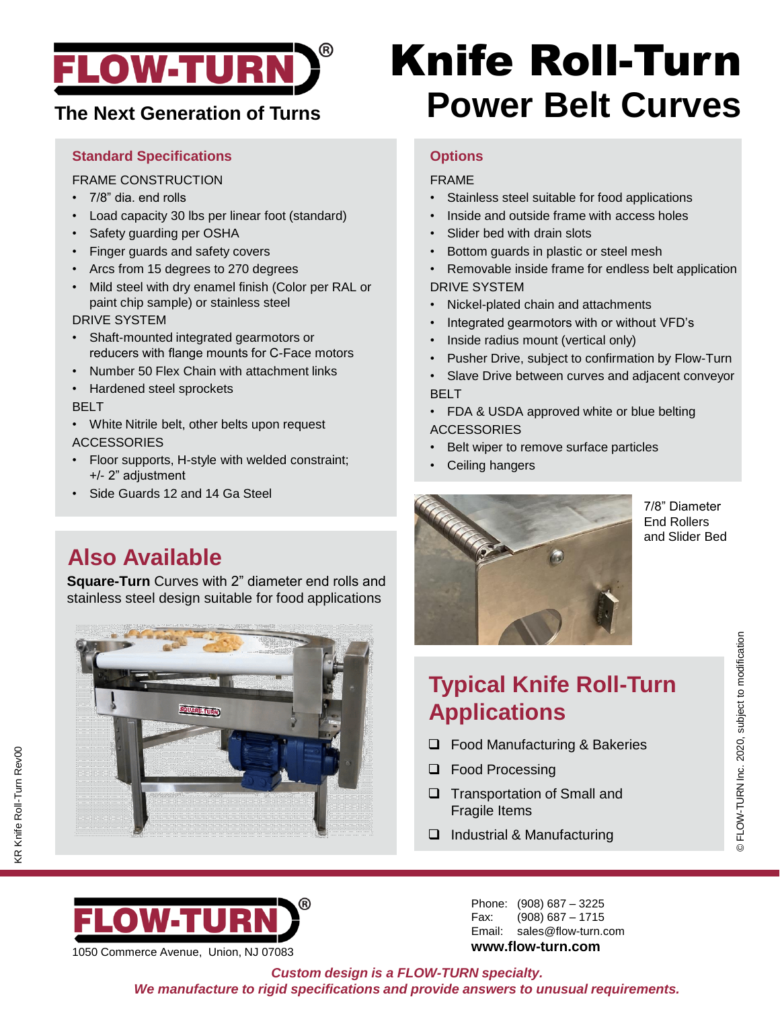

#### **Standard Specifications**

FRAME CONSTRUCTION

- 7/8" dia. end rolls
- Load capacity 30 lbs per linear foot (standard)
- Safety guarding per OSHA
- Finger guards and safety covers
- Arcs from 15 degrees to 270 degrees
- Mild steel with dry enamel finish (Color per RAL or paint chip sample) or stainless steel

DRIVE SYSTEM

- Shaft-mounted integrated gearmotors or reducers with flange mounts for C-Face motors
- Number 50 Flex Chain with attachment links
- Hardened steel sprockets

#### BELT

- White Nitrile belt, other belts upon request ACCESSORIES
- Floor supports, H-style with welded constraint; +/- 2" adjustment
- Side Guards 12 and 14 Ga Steel

## **Also Available**

**Square-Turn** Curves with 2" diameter end rolls and stainless steel design suitable for food applications



# Knife Roll-Turn **The Next Generation of Turns Power Belt Curves**

### **Options**

#### FRAME

- Stainless steel suitable for food applications
- Inside and outside frame with access holes
- Slider bed with drain slots
- Bottom guards in plastic or steel mesh
- Removable inside frame for endless belt application DRIVE SYSTEM
- Nickel-plated chain and attachments
- Integrated gearmotors with or without VFD's
- Inside radius mount (vertical only)
- Pusher Drive, subject to confirmation by Flow-Turn
- Slave Drive between curves and adjacent conveyor BELT
- FDA & USDA approved white or blue belting **ACCESSORIES**
- Belt wiper to remove surface particles
- Ceiling hangers



7/8" Diameter End Rollers and Slider Bed

© FLOW-TURN Inc. 2020, subject to modification

© FLOW-TURN Inc. 2020, subject to modification

# **Typical Knife Roll-Turn Applications**

- ❑ Food Manufacturing & Bakeries
- ❑ Food Processing
- ❑ Transportation of Small and Fragile Items
- ❑ Industrial & Manufacturing

OWETU 1050 Commerce Avenue, Union, NJ 07083

Phone: (908) 687 – 3225 Fax: (908) 687 – 1715 Email: sales@flow-turn.com **www.flow-turn.com**

*Custom design is a FLOW-TURN specialty. We manufacture to rigid specifications and provide answers to unusual requirements.*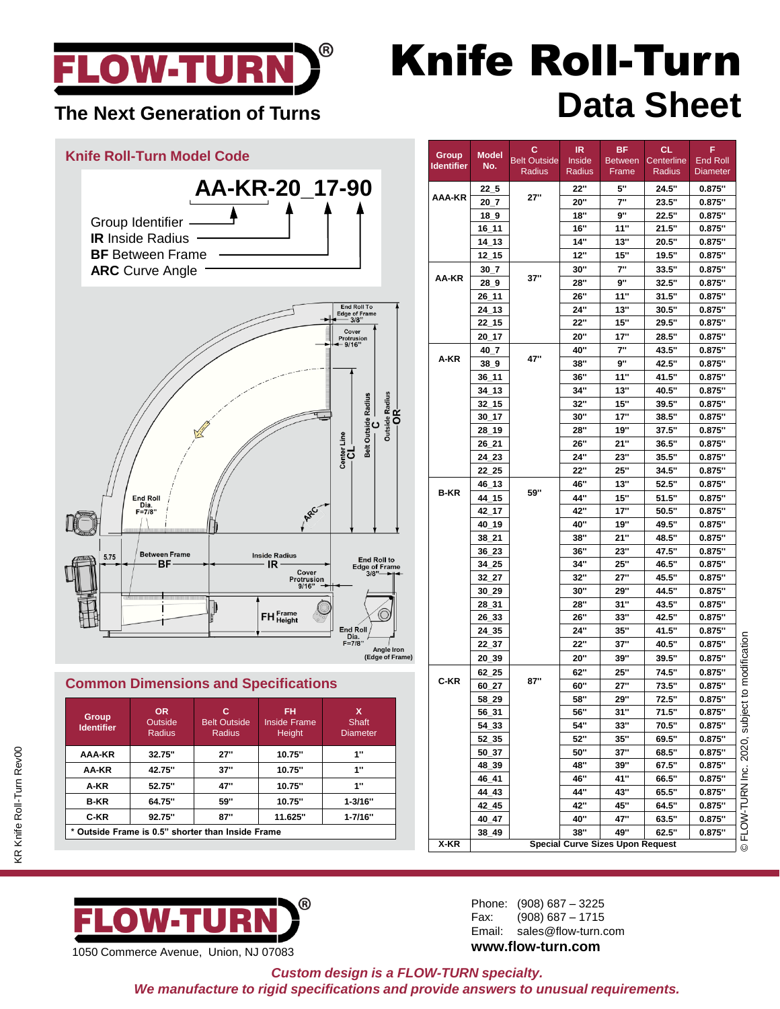

# Knife Roll-Turn The Next Generation of Turns<br>
The Next Generation of Turns

### **Knife Roll-Turn Model Code AA-KR-20\_17-90** Group Identifier **IR** Inside Radius **BF** Between Frame **ARC** Curve Angle Cove **Belt Outside Radius**  $\mathbf c$ End Roll<br>Dia.<br>F=7/8" **ARC Between Frame Inside Radius 5.75** End Roll to<br>Edge of Frame<br>3/8"—— -BF  $IR -$ Cover<br>Protrusion<br>9/16" -FH Frame End Ro<br>Dia.<br>F=7/8" **Angle Iron (Edge of Frame)**

### **Common Dimensions and Specifications**

| Group<br><b>Identifier</b>                        | OR.<br>Outside<br>Radius | с<br><b>Belt Outside</b><br>Radius | FH<br><b>Inside Frame</b><br>Height | x<br>Shaft<br><b>Diameter</b> |  |  |  |  |
|---------------------------------------------------|--------------------------|------------------------------------|-------------------------------------|-------------------------------|--|--|--|--|
| AAA-KR                                            | 32.75"                   | 27"                                | 10.75"                              | 1"                            |  |  |  |  |
| AA-KR                                             | 42.75"                   | 37"                                | 10.75"                              | 1"                            |  |  |  |  |
| A-KR                                              | 52.75"                   | 47"                                | 10.75"                              | 1"                            |  |  |  |  |
| <b>B-KR</b>                                       | 64.75"                   | 59"                                | 10.75"                              | $1 - 3/16"$                   |  |  |  |  |
| C-KR                                              | 92.75"                   | 87"                                | 11.625"                             | $1 - 7/16"$                   |  |  |  |  |
| * Outside Frame is 0.5" shorter than Inside Frame |                          |                                    |                                     |                               |  |  |  |  |



| 1050 Commerce Avenue, Union, NJ 07083 |  |
|---------------------------------------|--|
|                                       |  |

| Group             | <b>Model</b> | с<br><b>Belt Outside</b> | IR.<br>Inside | <b>BF</b><br><b>Between</b> | <b>CL</b><br>Centerline | F<br>End Roll   |
|-------------------|--------------|--------------------------|---------------|-----------------------------|-------------------------|-----------------|
| <b>Identifier</b> | No.          | Radius                   | Radius        | Frame                       | Radius                  | <b>Diameter</b> |
|                   | 22 5         |                          | 22"           | 5"                          | 24.5"                   | 0.875"          |
| AAA-KR            | 20 7         | 27"                      | 20"           | 7"                          | 23.5"                   | 0.875"          |
|                   | 18_9         |                          | 18"           | 9"                          | 22.5"                   | 0.875"          |
|                   | $16_111$     |                          | 16"           | 11"                         | 21.5"                   | 0.875"          |
|                   | 14 13        |                          | 14"           | 13"                         | 20.5"                   | 0.875"          |
|                   | 12 15        |                          | 12"           | 15"                         | 19.5"                   | 0.875"          |
|                   | 30 7         |                          | 30"           | 7"                          | 33.5"                   | 0.875"          |
| AA-KR             | 289          | 37"                      | 28"           | 9"                          | 32.5"                   | 0.875"          |
|                   | 26 11        |                          | 26"           | 11"                         | 31.5"                   | 0.875"          |
|                   | 24 13        |                          | 24"           | 13"                         | 30.5"                   | 0.875"          |
|                   | 22 15        |                          | <b>22"</b>    | 15"                         | 29.5"                   | 0.875"          |
|                   | $20 - 17$    |                          | 20"           | 17"                         | 28.5"                   | 0.875"          |
|                   | 40_7         |                          | 40"           | 7"                          | 43.5"                   | 0.875"          |
| A-KR              | 38 9         | 47"                      | 38"           | 9"                          | 42.5"                   | 0.875"          |
|                   | 36_11        |                          | <b>36"</b>    | 11"                         | 41.5"                   | 0.875"          |
|                   | $34 - 13$    |                          | 34"           | 13"                         | 40.5"                   | 0.875"          |
|                   | $32\_15$     |                          | 32"           | 15"                         | 39.5"                   | 0.875"          |
|                   | 30 17        |                          | 30"           | 17"                         | 38.5"                   | 0.875"          |
|                   | 28 19        |                          | 28"           | 19"                         | 37.5"                   | 0.875"          |
|                   | $26 - 21$    |                          | 26"           | 21"                         | 36.5"                   | 0.875"          |
|                   |              |                          | 24"           | 23"                         | 35.5"                   | 0.875"          |
|                   | 24_23        |                          |               |                             |                         |                 |
|                   | 22 25        |                          | 22"           | 25"                         | 34.5"                   | 0.875"          |
| <b>B-KR</b>       | 46 13        | 59"                      | 46"           | 13"                         | 52.5"                   | 0.875"          |
|                   | 44 15        |                          | 44"           | 15"                         | 51.5"                   | 0.875"          |
|                   | 42 17        |                          | 42"           | 17"                         | 50.5"                   | 0.875"          |
|                   | 40 19        |                          | 40"           | 19"                         | 49.5"                   | 0.875"          |
|                   | 38 21        |                          | 38"           | 21"                         | 48.5"                   | 0.875"          |
|                   | 36_23        |                          | 36"           | 23"                         | 47.5"                   | 0.875"          |
|                   | $34 - 25$    |                          | 34"           | 25"                         | 46.5"                   | 0.875"          |
|                   | $32 - 27$    |                          | 32"           | 27"                         | 45.5"                   | 0.875"          |
|                   | 30_29        |                          | 30"           | 29"                         | 44.5"                   | 0.875"          |
|                   | 28_31        |                          | 28"           | 31"                         | 43.5"                   | 0.875"          |
|                   | 26_33        |                          | 26"           | 33"                         | 42.5"                   | 0.875"          |
|                   | 24 35        |                          | 24"           | 35"                         | 41.5"                   | 0.875"          |
|                   | 22_37        |                          | 22"           | 37"                         | 40.5"                   | 0.875"          |
|                   | 20 39        |                          | 20"           | 39"                         | 39.5"                   | 0.875"          |
| C-KR              | $62 - 25$    |                          | 62"           | <b>25"</b>                  | 74.5"                   | 0.875"          |
|                   | 60 27        | 87"                      | 60"           | 27"                         | 73.5"                   | 0.875"          |
|                   | 58 29        |                          | 58"           | 29"                         | 72.5"                   | 0.875"          |
|                   | 56 31        |                          | 56"           | 31"                         | 71.5"                   | 0.875"          |
|                   | 54_33        |                          | 54"           | 33"                         | 70.5"                   | 0.875"          |
|                   | 52_35        |                          | 52"           | 35"                         | 69.5"                   | 0.875"          |
|                   | 50_37        |                          | 50"           | 37"                         | 68.5"                   | 0.875"          |
|                   | 48_39        |                          | 48"           | 39"                         | 67.5"                   | 0.875"          |
|                   | 46_41        |                          | 46"           | 41"                         | 66.5"                   | 0.875"          |
|                   | 44 43        |                          | 44"           | 43"                         | 65.5"                   | 0.875"          |
|                   |              |                          |               |                             | 64.5"                   | 0.875"          |
|                   | 42 45        |                          | 42"           | 45"                         |                         |                 |
|                   | 40 47        |                          | 40"           | 47"                         | 63.5"                   | 0.875"          |

Phone: (908) 687 – 3225 Fax: (908) 687 – 1715 Email: sales@flow-turn.com **www.flow-turn.com**

*Custom design is a FLOW-TURN specialty. We manufacture to rigid specifications and provide answers to unusual requirements.*